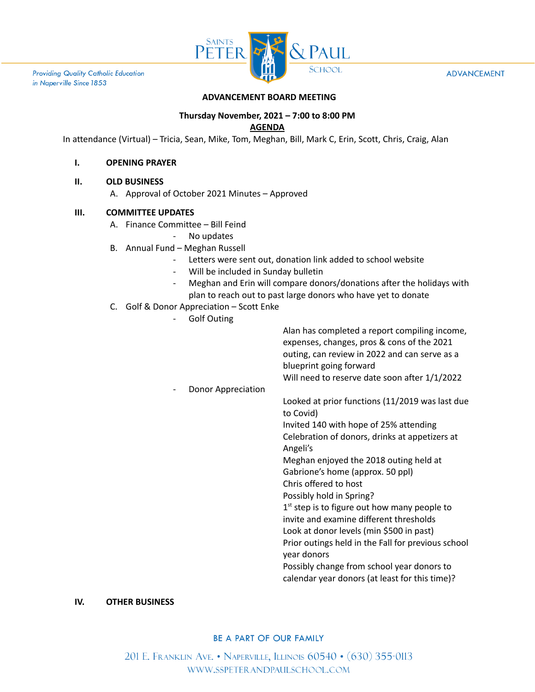

**Providing Quality Catholic Education** in Naperville Since 1853

#### **ADVANCEMENT**

# **ADVANCEMENT BOARD MEETING**

# **Thursday November, 2021 – 7:00 to 8:00 PM**

## **AGENDA**

In attendance (Virtual) – Tricia, Sean, Mike, Tom, Meghan, Bill, Mark C, Erin, Scott, Chris, Craig, Alan

### **I. OPENING PRAYER**

### **II. OLD BUSINESS**

A. Approval of October 2021 Minutes – Approved

## **III. COMMITTEE UPDATES**

- A. Finance Committee Bill Feind
	- No updates
- B. Annual Fund Meghan Russell
	- Letters were sent out, donation link added to school website
	- Will be included in Sunday bulletin
	- Meghan and Erin will compare donors/donations after the holidays with plan to reach out to past large donors who have yet to donate
- C. Golf & Donor Appreciation Scott Enke
	- Golf Outing

|                    | Alan has completed a report compiling income,<br>expenses, changes, pros & cons of the 2021<br>outing, can review in 2022 and can serve as a<br>blueprint going forward<br>Will need to reserve date soon after 1/1/2022 |
|--------------------|--------------------------------------------------------------------------------------------------------------------------------------------------------------------------------------------------------------------------|
| Donor Appreciation |                                                                                                                                                                                                                          |
|                    | Looked at prior functions (11/2019 was last due<br>to Covid)                                                                                                                                                             |
|                    | Invited 140 with hope of 25% attending                                                                                                                                                                                   |
|                    | Celebration of donors, drinks at appetizers at<br>Angeli's                                                                                                                                                               |
|                    | Meghan enjoyed the 2018 outing held at                                                                                                                                                                                   |
|                    | Gabrione's home (approx. 50 ppl)                                                                                                                                                                                         |
|                    | Chris offered to host                                                                                                                                                                                                    |
|                    | Possibly hold in Spring?                                                                                                                                                                                                 |
|                    | $1st$ step is to figure out how many people to                                                                                                                                                                           |
|                    | invite and examine different thresholds                                                                                                                                                                                  |
|                    | Look at donor levels (min \$500 in past)                                                                                                                                                                                 |
|                    | Prior outings held in the Fall for previous school                                                                                                                                                                       |
|                    | year donors                                                                                                                                                                                                              |
|                    | Possibly change from school year donors to                                                                                                                                                                               |
|                    | calendar year donors (at least for this time)?                                                                                                                                                                           |
|                    |                                                                                                                                                                                                                          |
|                    |                                                                                                                                                                                                                          |

#### **IV. OTHER BUSINESS**

### BE A PART OF OUR FAMILY